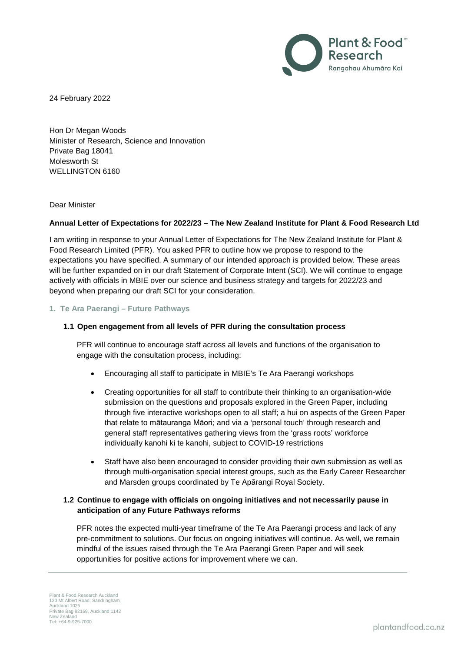

24 February 2022

Hon Dr Megan Woods Minister of Research, Science and Innovation Private Bag 18041 Molesworth St WELLINGTON 6160

Dear Minister

#### **Annual Letter of Expectations for 2022/23 – The New Zealand Institute for Plant & Food Research Ltd**

I am writing in response to your Annual Letter of Expectations for The New Zealand Institute for Plant & Food Research Limited (PFR). You asked PFR to outline how we propose to respond to the expectations you have specified. A summary of our intended approach is provided below. These areas will be further expanded on in our draft Statement of Corporate Intent (SCI). We will continue to engage actively with officials in MBIE over our science and business strategy and targets for 2022/23 and beyond when preparing our draft SCI for your consideration.

#### **1. Te Ara Paerangi – Future Pathways**

### **1.1 Open engagement from all levels of PFR during the consultation process**

PFR will continue to encourage staff across all levels and functions of the organisation to engage with the consultation process, including:

- Encouraging all staff to participate in MBIE's Te Ara Paerangi workshops
- Creating opportunities for all staff to contribute their thinking to an organisation-wide submission on the questions and proposals explored in the Green Paper, including through five interactive workshops open to all staff; a hui on aspects of the Green Paper that relate to mātauranga Māori; and via a 'personal touch' through research and general staff representatives gathering views from the 'grass roots' workforce individually kanohi ki te kanohi, subject to COVID-19 restrictions
- Staff have also been encouraged to consider providing their own submission as well as through multi-organisation special interest groups, such as the Early Career Researcher and Marsden groups coordinated by Te Apārangi Royal Society.

## **1.2 Continue to engage with officials on ongoing initiatives and not necessarily pause in anticipation of any Future Pathways reforms**

PFR notes the expected multi-year timeframe of the Te Ara Paerangi process and lack of any pre-commitment to solutions. Our focus on ongoing initiatives will continue. As well, we remain mindful of the issues raised through the Te Ara Paerangi Green Paper and will seek opportunities for positive actions for improvement where we can.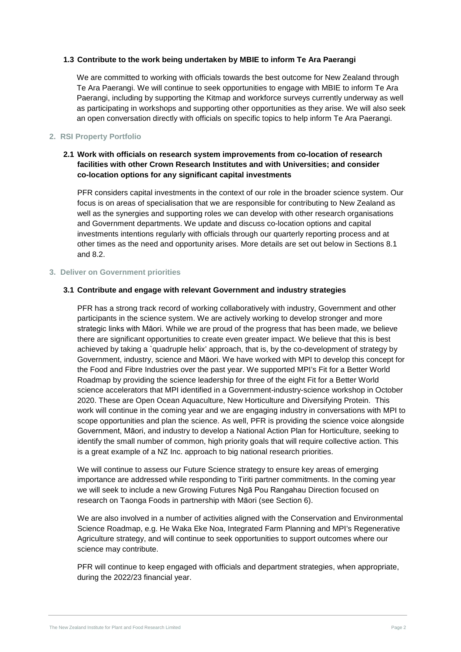#### **1.3 Contribute to the work being undertaken by MBIE to inform Te Ara Paerangi**

We are committed to working with officials towards the best outcome for New Zealand through Te Ara Paerangi. We will continue to seek opportunities to engage with MBIE to inform Te Ara Paerangi, including by supporting the Kitmap and workforce surveys currently underway as well as participating in workshops and supporting other opportunities as they arise. We will also seek an open conversation directly with officials on specific topics to help inform Te Ara Paerangi.

### **2. RSI Property Portfolio**

# **2.1 Work with officials on research system improvements from co-location of research facilities with other Crown Research Institutes and with Universities; and consider co-location options for any significant capital investments**

PFR considers capital investments in the context of our role in the broader science system. Our focus is on areas of specialisation that we are responsible for contributing to New Zealand as well as the synergies and supporting roles we can develop with other research organisations and Government departments. We update and discuss co-location options and capital investments intentions regularly with officials through our quarterly reporting process and at other times as the need and opportunity arises. More details are set out below in Sections 8.1 and 8.2.

#### **3. Deliver on Government priorities**

## **3.1 Contribute and engage with relevant Government and industry strategies**

PFR has a strong track record of working collaboratively with industry, Government and other participants in the science system. We are actively working to develop stronger and more strategic links with Māori. While we are proud of the progress that has been made, we believe there are significant opportunities to create even greater impact. We believe that this is best achieved by taking a `quadruple helix' approach, that is, by the co-development of strategy by Government, industry, science and Māori. We have worked with MPI to develop this concept for the Food and Fibre Industries over the past year. We supported MPI's Fit for a Better World Roadmap by providing the science leadership for three of the eight Fit for a Better World science accelerators that MPI identified in a Government-industry-science workshop in October 2020. These are Open Ocean Aquaculture, New Horticulture and Diversifying Protein. This work will continue in the coming year and we are engaging industry in conversations with MPI to scope opportunities and plan the science. As well, PFR is providing the science voice alongside Government, Māori, and industry to develop a National Action Plan for Horticulture, seeking to identify the small number of common, high priority goals that will require collective action. This is a great example of a NZ Inc. approach to big national research priorities.

We will continue to assess our Future Science strategy to ensure key areas of emerging importance are addressed while responding to Tiriti partner commitments. In the coming year we will seek to include a new Growing Futures Ngā Pou Rangahau Direction focused on research on Taonga Foods in partnership with Māori (see Section 6).

We are also involved in a number of activities aligned with the Conservation and Environmental Science Roadmap, e.g. He Waka Eke Noa, Integrated Farm Planning and MPI's Regenerative Agriculture strategy, and will continue to seek opportunities to support outcomes where our science may contribute.

PFR will continue to keep engaged with officials and department strategies, when appropriate, during the 2022/23 financial year.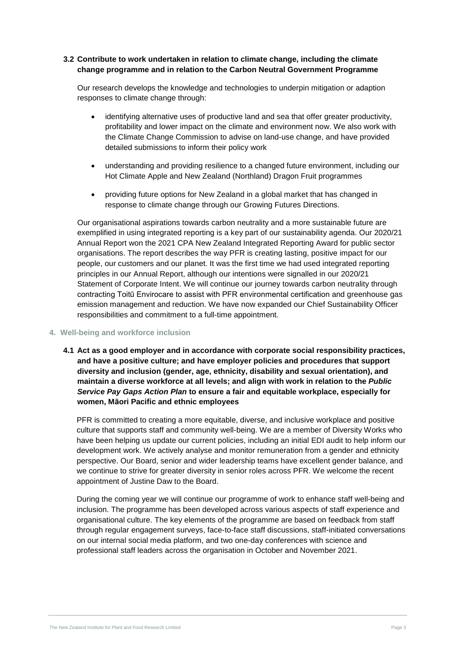## **3.2 Contribute to work undertaken in relation to climate change, including the climate change programme and in relation to the Carbon Neutral Government Programme**

Our research develops the knowledge and technologies to underpin mitigation or adaption responses to climate change through:

- identifying alternative uses of productive land and sea that offer greater productivity, profitability and lower impact on the climate and environment now. We also work with the Climate Change Commission to advise on land-use change, and have provided detailed submissions to inform their policy work
- understanding and providing resilience to a changed future environment, including our Hot Climate Apple and New Zealand (Northland) Dragon Fruit programmes
- providing future options for New Zealand in a global market that has changed in response to climate change through our Growing Futures Directions.

Our organisational aspirations towards carbon neutrality and a more sustainable future are exemplified in using integrated reporting is a key part of our sustainability agenda. Our 2020/21 Annual Report won the 2021 CPA New Zealand Integrated Reporting Award for public sector organisations. The report describes the way PFR is creating lasting, positive impact for our people, our customers and our planet. It was the first time we had used integrated reporting principles in our Annual Report, although our intentions were signalled in our 2020/21 Statement of Corporate Intent. We will continue our journey towards carbon neutrality through contracting Toitū Envirocare to assist with PFR environmental certification and greenhouse gas emission management and reduction. We have now expanded our Chief Sustainability Officer responsibilities and commitment to a full-time appointment.

#### **4. Well-being and workforce inclusion**

**4.1 Act as a good employer and in accordance with corporate social responsibility practices, and have a positive culture; and have employer policies and procedures that support diversity and inclusion (gender, age, ethnicity, disability and sexual orientation), and maintain a diverse workforce at all levels; and align with work in relation to the** *Public Service Pay Gaps Action Plan* **to ensure a fair and equitable workplace, especially for women, Māori Pacific and ethnic employees**

PFR is committed to creating a more equitable, diverse, and inclusive workplace and positive culture that supports staff and community well-being. We are a member of Diversity Works who have been helping us update our current policies, including an initial EDI audit to help inform our development work. We actively analyse and monitor remuneration from a gender and ethnicity perspective. Our Board, senior and wider leadership teams have excellent gender balance, and we continue to strive for greater diversity in senior roles across PFR. We welcome the recent appointment of Justine Daw to the Board.

During the coming year we will continue our programme of work to enhance staff well-being and inclusion. The programme has been developed across various aspects of staff experience and organisational culture. The key elements of the programme are based on feedback from staff through regular engagement surveys, face-to-face staff discussions, staff-initiated conversations on our internal social media platform, and two one-day conferences with science and professional staff leaders across the organisation in October and November 2021.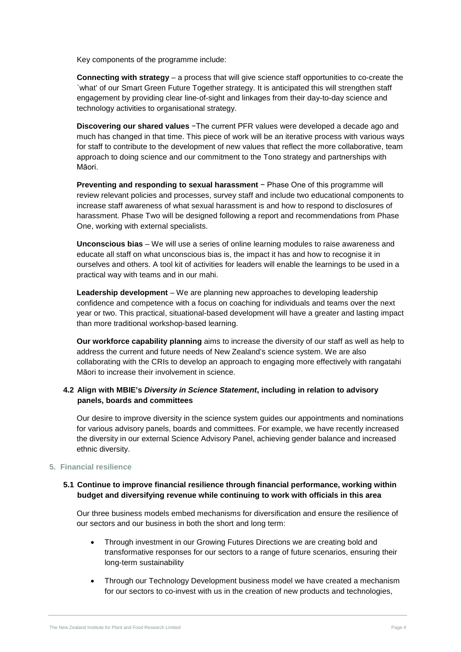Key components of the programme include:

**Connecting with strategy** – a process that will give science staff opportunities to co-create the `what' of our Smart Green Future Together strategy. It is anticipated this will strengthen staff engagement by providing clear line-of-sight and linkages from their day-to-day science and technology activities to organisational strategy.

**Discovering our shared values** −The current PFR values were developed a decade ago and much has changed in that time. This piece of work will be an iterative process with various ways for staff to contribute to the development of new values that reflect the more collaborative, team approach to doing science and our commitment to the Tono strategy and partnerships with Māori.

**Preventing and responding to sexual harassment** − Phase One of this programme will review relevant policies and processes, survey staff and include two educational components to increase staff awareness of what sexual harassment is and how to respond to disclosures of harassment. Phase Two will be designed following a report and recommendations from Phase One, working with external specialists.

**Unconscious bias** – We will use a series of online learning modules to raise awareness and educate all staff on what unconscious bias is, the impact it has and how to recognise it in ourselves and others. A tool kit of activities for leaders will enable the learnings to be used in a practical way with teams and in our mahi.

**Leadership development** – We are planning new approaches to developing leadership confidence and competence with a focus on coaching for individuals and teams over the next year or two. This practical, situational-based development will have a greater and lasting impact than more traditional workshop-based learning.

**Our workforce capability planning** aims to increase the diversity of our staff as well as help to address the current and future needs of New Zealand's science system. We are also collaborating with the CRIs to develop an approach to engaging more effectively with rangatahi Māori to increase their involvement in science.

# **4.2 Align with MBIE's** *Diversity in Science Statement***, including in relation to advisory panels, boards and committees**

Our desire to improve diversity in the science system guides our appointments and nominations for various advisory panels, boards and committees. For example, we have recently increased the diversity in our external Science Advisory Panel, achieving gender balance and increased ethnic diversity.

## **5. Financial resilience**

## **5.1 Continue to improve financial resilience through financial performance, working within budget and diversifying revenue while continuing to work with officials in this area**

Our three business models embed mechanisms for diversification and ensure the resilience of our sectors and our business in both the short and long term:

- Through investment in our Growing Futures Directions we are creating bold and transformative responses for our sectors to a range of future scenarios, ensuring their long-term sustainability
- Through our Technology Development business model we have created a mechanism for our sectors to co-invest with us in the creation of new products and technologies,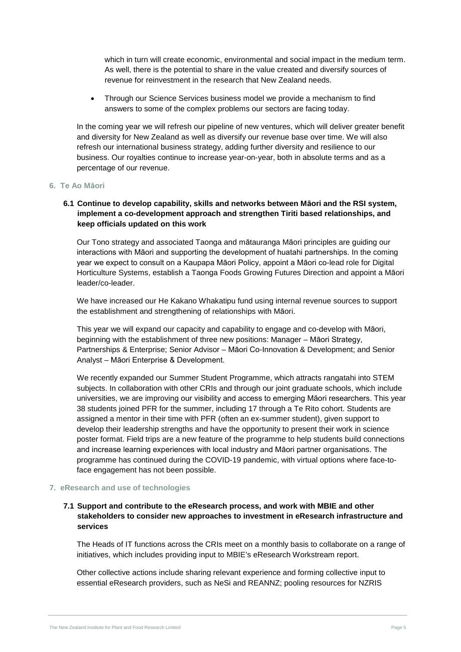which in turn will create economic, environmental and social impact in the medium term. As well, there is the potential to share in the value created and diversify sources of revenue for reinvestment in the research that New Zealand needs.

• Through our Science Services business model we provide a mechanism to find answers to some of the complex problems our sectors are facing today.

In the coming year we will refresh our pipeline of new ventures, which will deliver greater benefit and diversity for New Zealand as well as diversify our revenue base over time. We will also refresh our international business strategy, adding further diversity and resilience to our business. Our royalties continue to increase year-on-year, both in absolute terms and as a percentage of our revenue.

#### **6. Te Ao Māori**

## **6.1 Continue to develop capability, skills and networks between Māori and the RSI system, implement a co-development approach and strengthen Tiriti based relationships, and keep officials updated on this work**

Our Tono strategy and associated Taonga and mātauranga Māori principles are guiding our interactions with Māori and supporting the development of huatahi partnerships. In the coming year we expect to consult on a Kaupapa Māori Policy, appoint a Māori co-lead role for Digital Horticulture Systems, establish a Taonga Foods Growing Futures Direction and appoint a Māori leader/co-leader.

We have increased our He Kakano Whakatipu fund using internal revenue sources to support the establishment and strengthening of relationships with Māori.

This year we will expand our capacity and capability to engage and co-develop with Māori, beginning with the establishment of three new positions: Manager – Māori Strategy, Partnerships & Enterprise; Senior Advisor – Māori Co-Innovation & Development; and Senior Analyst – Māori Enterprise & Development.

We recently expanded our Summer Student Programme, which attracts rangatahi into STEM subjects. In collaboration with other CRIs and through our joint graduate schools, which include universities, we are improving our visibility and access to emerging Māori researchers. This year 38 students joined PFR for the summer, including 17 through a Te Rito cohort. Students are assigned a mentor in their time with PFR (often an ex-summer student), given support to develop their leadership strengths and have the opportunity to present their work in science poster format. Field trips are a new feature of the programme to help students build connections and increase learning experiences with local industry and Māori partner organisations. The programme has continued during the COVID-19 pandemic, with virtual options where face-toface engagement has not been possible.

#### **7. eResearch and use of technologies**

# **7.1 Support and contribute to the eResearch process, and work with MBIE and other stakeholders to consider new approaches to investment in eResearch infrastructure and services**

The Heads of IT functions across the CRIs meet on a monthly basis to collaborate on a range of initiatives, which includes providing input to MBIE's eResearch Workstream report.

Other collective actions include sharing relevant experience and forming collective input to essential eResearch providers, such as NeSi and REANNZ; pooling resources for NZRIS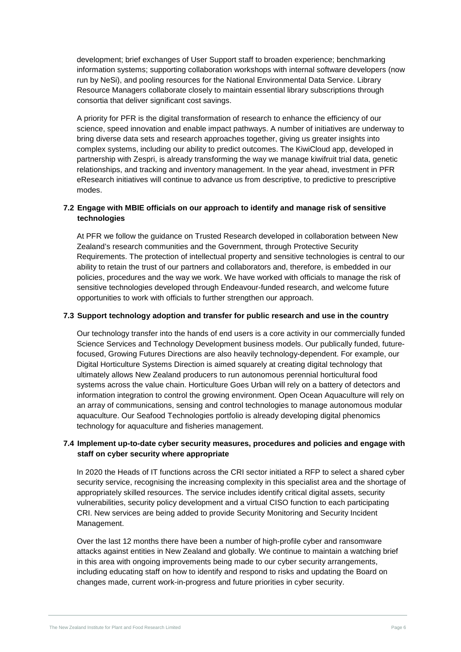development; brief exchanges of User Support staff to broaden experience; benchmarking information systems; supporting collaboration workshops with internal software developers (now run by NeSi), and pooling resources for the National Environmental Data Service. Library Resource Managers collaborate closely to maintain essential library subscriptions through consortia that deliver significant cost savings.

A priority for PFR is the digital transformation of research to enhance the efficiency of our science, speed innovation and enable impact pathways. A number of initiatives are underway to bring diverse data sets and research approaches together, giving us greater insights into complex systems, including our ability to predict outcomes. The KiwiCloud app, developed in partnership with Zespri, is already transforming the way we manage kiwifruit trial data, genetic relationships, and tracking and inventory management. In the year ahead, investment in PFR eResearch initiatives will continue to advance us from descriptive, to predictive to prescriptive modes.

# **7.2 Engage with MBIE officials on our approach to identify and manage risk of sensitive technologies**

At PFR we follow the guidance on Trusted Research developed in collaboration between New Zealand's research communities and the Government, through Protective Security Requirements. The protection of intellectual property and sensitive technologies is central to our ability to retain the trust of our partners and collaborators and, therefore, is embedded in our policies, procedures and the way we work. We have worked with officials to manage the risk of sensitive technologies developed through Endeavour-funded research, and welcome future opportunities to work with officials to further strengthen our approach.

## **7.3 Support technology adoption and transfer for public research and use in the country**

Our technology transfer into the hands of end users is a core activity in our commercially funded Science Services and Technology Development business models. Our publically funded, futurefocused, Growing Futures Directions are also heavily technology-dependent. For example, our Digital Horticulture Systems Direction is aimed squarely at creating digital technology that ultimately allows New Zealand producers to run autonomous perennial horticultural food systems across the value chain. Horticulture Goes Urban will rely on a battery of detectors and information integration to control the growing environment. Open Ocean Aquaculture will rely on an array of communications, sensing and control technologies to manage autonomous modular aquaculture. Our Seafood Technologies portfolio is already developing digital phenomics technology for aquaculture and fisheries management.

# **7.4 Implement up-to-date cyber security measures, procedures and policies and engage with staff on cyber security where appropriate**

In 2020 the Heads of IT functions across the CRI sector initiated a RFP to select a shared cyber security service, recognising the increasing complexity in this specialist area and the shortage of appropriately skilled resources. The service includes identify critical digital assets, security vulnerabilities, security policy development and a virtual CISO function to each participating CRI. New services are being added to provide Security Monitoring and Security Incident Management.

Over the last 12 months there have been a number of high-profile cyber and ransomware attacks against entities in New Zealand and globally. We continue to maintain a watching brief in this area with ongoing improvements being made to our cyber security arrangements, including educating staff on how to identify and respond to risks and updating the Board on changes made, current work-in-progress and future priorities in cyber security.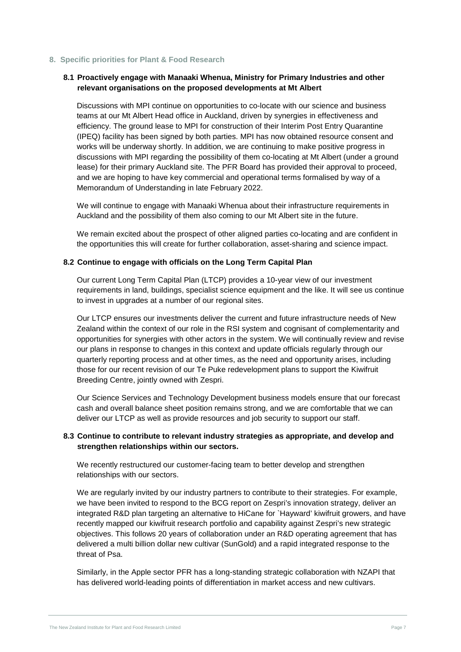#### **8. Specific priorities for Plant & Food Research**

## **8.1 Proactively engage with Manaaki Whenua, Ministry for Primary Industries and other relevant organisations on the proposed developments at Mt Albert**

Discussions with MPI continue on opportunities to co-locate with our science and business teams at our Mt Albert Head office in Auckland, driven by synergies in effectiveness and efficiency. The ground lease to MPI for construction of their Interim Post Entry Quarantine (IPEQ) facility has been signed by both parties. MPI has now obtained resource consent and works will be underway shortly. In addition, we are continuing to make positive progress in discussions with MPI regarding the possibility of them co-locating at Mt Albert (under a ground lease) for their primary Auckland site. The PFR Board has provided their approval to proceed, and we are hoping to have key commercial and operational terms formalised by way of a Memorandum of Understanding in late February 2022.

We will continue to engage with Manaaki Whenua about their infrastructure requirements in Auckland and the possibility of them also coming to our Mt Albert site in the future.

We remain excited about the prospect of other aligned parties co-locating and are confident in the opportunities this will create for further collaboration, asset-sharing and science impact.

#### **8.2 Continue to engage with officials on the Long Term Capital Plan**

Our current Long Term Capital Plan (LTCP) provides a 10-year view of our investment requirements in land, buildings, specialist science equipment and the like. It will see us continue to invest in upgrades at a number of our regional sites.

Our LTCP ensures our investments deliver the current and future infrastructure needs of New Zealand within the context of our role in the RSI system and cognisant of complementarity and opportunities for synergies with other actors in the system. We will continually review and revise our plans in response to changes in this context and update officials regularly through our quarterly reporting process and at other times, as the need and opportunity arises, including those for our recent revision of our Te Puke redevelopment plans to support the Kiwifruit Breeding Centre, jointly owned with Zespri.

Our Science Services and Technology Development business models ensure that our forecast cash and overall balance sheet position remains strong, and we are comfortable that we can deliver our LTCP as well as provide resources and job security to support our staff.

## **8.3 Continue to contribute to relevant industry strategies as appropriate, and develop and strengthen relationships within our sectors.**

We recently restructured our customer-facing team to better develop and strengthen relationships with our sectors.

We are regularly invited by our industry partners to contribute to their strategies. For example, we have been invited to respond to the BCG report on Zespri's innovation strategy, deliver an integrated R&D plan targeting an alternative to HiCane for `Hayward' kiwifruit growers, and have recently mapped our kiwifruit research portfolio and capability against Zespri's new strategic objectives. This follows 20 years of collaboration under an R&D operating agreement that has delivered a multi billion dollar new cultivar (SunGold) and a rapid integrated response to the threat of Psa.

Similarly, in the Apple sector PFR has a long-standing strategic collaboration with NZAPI that has delivered world-leading points of differentiation in market access and new cultivars.